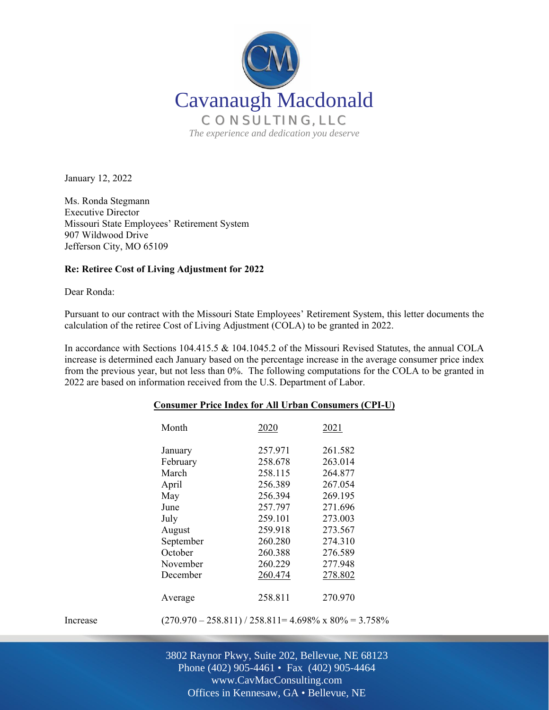

January 12, 2022

Ms. Ronda Stegmann Executive Director Missouri State Employees' Retirement System 907 Wildwood Drive Jefferson City, MO 65109

## **Re: Retiree Cost of Living Adjustment for 2022**

Dear Ronda:

Pursuant to our contract with the Missouri State Employees' Retirement System, this letter documents the calculation of the retiree Cost of Living Adjustment (COLA) to be granted in 2022.

In accordance with Sections 104.415.5 & 104.1045.2 of the Missouri Revised Statutes, the annual COLA increase is determined each January based on the percentage increase in the average consumer price index from the previous year, but not less than 0%. The following computations for the COLA to be granted in 2022 are based on information received from the U.S. Department of Labor.

|          | Month                                                           | 2020    | 2021    |  |
|----------|-----------------------------------------------------------------|---------|---------|--|
|          | January                                                         | 257.971 | 261.582 |  |
|          | February                                                        | 258.678 | 263.014 |  |
|          | March                                                           | 258.115 | 264.877 |  |
|          | April                                                           | 256.389 | 267.054 |  |
|          | May                                                             | 256.394 | 269.195 |  |
|          | June                                                            | 257.797 | 271.696 |  |
|          | July                                                            | 259.101 | 273.003 |  |
|          | August                                                          | 259.918 | 273.567 |  |
|          | September                                                       | 260.280 | 274.310 |  |
|          | October                                                         | 260.388 | 276.589 |  |
|          | November                                                        | 260.229 | 277.948 |  |
|          | December                                                        | 260.474 | 278.802 |  |
|          | Average                                                         | 258.811 | 270.970 |  |
| Increase | $(270.970 - 258.811) / 258.811 = 4.698\% \times 80\% = 3.758\%$ |         |         |  |

## **Consumer Price Index for All Urban Consumers (CPI-U)**

Off Offices in Kennesaw, GA • Bellevue, NE 3802 Raynor Pkwy, Suite 202, Bellevue, NE 68123 Phone (402) 905-4461 • Fax (402) 905-4464 www.CavMacConsulting.com